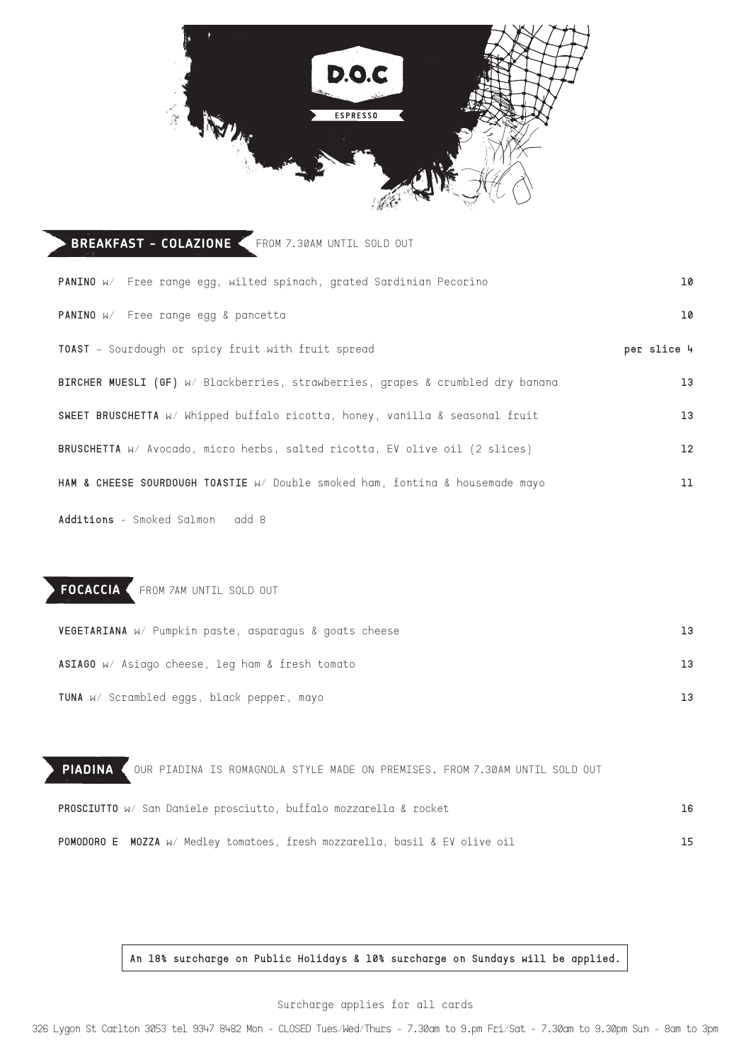

| <b>BREAKFAST - COLAZIONE <from 7.30am="" b="" out<="" sold="" until=""></from></b> |             |
|------------------------------------------------------------------------------------|-------------|
| PANINO w/ Free range egg, wilted spinach, grated Sardinian Pecorino                | 10          |
| PANINO W/ Free range egg & pancetta                                                | 10          |
| TOAST - Sourdough or spicy fruit with fruit spread                                 | per slice 4 |
| BIRCHER MUESLI (GF) W/ Blackberries, strawberries, grapes & crumbled dry banana    | 13          |
| SWEET BRUSCHETTA W/ Whipped buffalo ricotta, honey, vanilla & seasonal fruit       | 13          |
| BRUSCHETTA W/ Avocado, micro herbs, salted ricotta, EV olive oil (2 slices)        | 12          |
| HAM & CHEESE SOURDOUGH TOASTIE W/ Double smoked ham, fonting & housemade mayo      | 11          |
|                                                                                    |             |

**Additions** - Smoked Salmon add 8

## **FOCACCIA** FROM 7AM UNTIL SOLD OUT

| VEGETARIANA W/ Pumpkin paste, asparagus & goats cheese | 13 |
|--------------------------------------------------------|----|
| ASIAGO W/ Asiago cheese, leg ham & fresh tomato        |    |
| <b>TUNA</b> w/ Scrambled eggs, black pepper, mayo      |    |

| PIADINA ( OUR PIADINA IS ROMAGNOLA STYLE MADE ON PREMISES. FROM 7.30AM UNTIL SOLD OUT |    |
|---------------------------------------------------------------------------------------|----|
| <b>PROSCIUTTO</b> W/ San Daniele prosciutto, buffalo mozzarella & rocket              | 16 |
| POMODORO E MOZZA W/ Medley tomatoes, fresh mozzarella, basil & EV olive oil           | 15 |

**An 18% surcharge on Public Holidays & 10% surcharge on Sundays will be applied.**

Surcharge applies for all cards